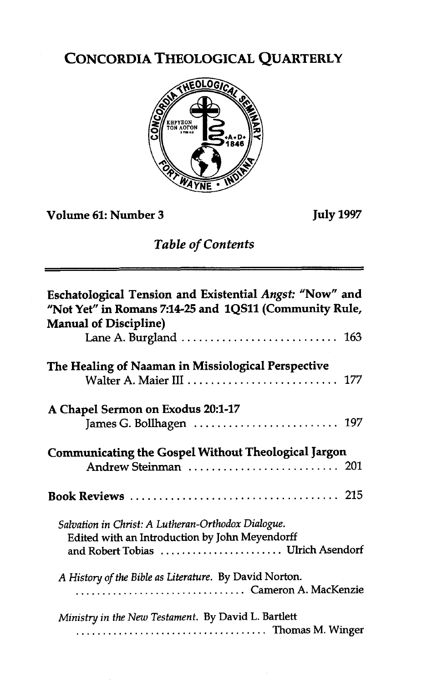# CONCORDIA THEOLOGICAL QUARTERLY



**Volume 61: Number 3** 

**July 1997** 

### *Table* **of** *Contents*

| Eschatological Tension and Existential Angst: "Now" and<br>"Not Yet" in Romans 7:14-25 and 1QS11 (Community Rule,<br><b>Manual of Discipline)</b> |
|---------------------------------------------------------------------------------------------------------------------------------------------------|
| Lane A. Burgland $\ldots \ldots \ldots \ldots \ldots \ldots \ldots \ldots$ 163                                                                    |
| The Healing of Naaman in Missiological Perspective<br>Walter A. Maier III  177                                                                    |
| A Chapel Sermon on Exodus 20:1-17<br>James G. Bollhagen  197                                                                                      |
| <b>Communicating the Gospel Without Theological Jargon</b>                                                                                        |
|                                                                                                                                                   |
| Salvation in Christ: A Lutheran-Orthodox Dialogue.<br>Edited with an Introduction by John Meyendorff<br>and Robert Tobias  Ulrich Asendorf        |
| A History of the Bible as Literature. By David Norton.<br>Cameron A. MacKenzie                                                                    |
| Ministry in the New Testament. By David L. Bartlett<br>Thomas M. Winger                                                                           |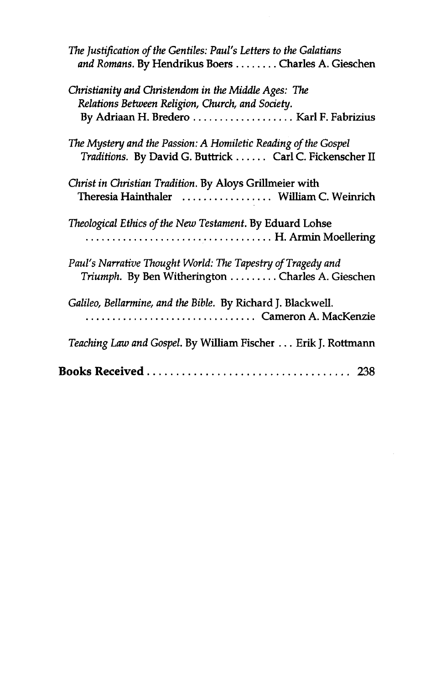| The Justification of the Gentiles: Paul's Letters to the Galatians<br>and Romans. By Hendrikus Boers Charles A. Gieschen  |
|---------------------------------------------------------------------------------------------------------------------------|
| Christianity and Christendom in the Middle Ages: The<br>Relations Between Religion, Church, and Society.                  |
| The Mystery and the Passion: A Homiletic Reading of the Gospel<br>Traditions. By David G. Buttrick Carl C. Fickenscher II |
| Christ in Christian Tradition. By Aloys Grillmeier with<br>Theresia Hainthaler (Chemondum C. Weinrich                     |
| Theological Ethics of the New Testament. By Eduard Lohse<br>H. Armin Moellering                                           |
| Paul's Narrative Thought World: The Tapestry of Tragedy and<br>Triumph. By Ben Witherington Charles A. Gieschen           |
| Galileo, Bellarmine, and the Bible. By Richard J. Blackwell.<br>Cameron A. MacKenzie                                      |
| Teaching Law and Gospel. By William Fischer  Erik J. Rottmann                                                             |
| 238                                                                                                                       |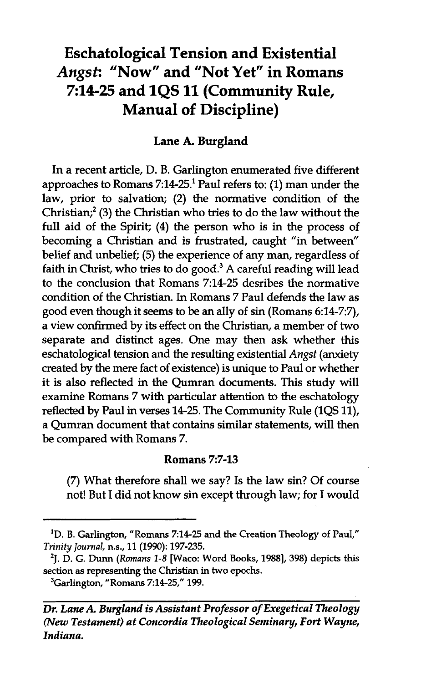## **Eschatological Tension and Existential**  Angst: "Now" and "Not Yet" in Romans **214-25 and 1QS 11 (Community Rule, Manual of Discipline)**

### **Lane A. Burgland**

In a recent article, D. B. Garlington enumerated five different approaches to Romans 7:14-25.' Paul refers to: (1) man under the law, prior to salvation; (2) the normative condition of the Christian;' (3) the Christian who tries to do the law without the full aid of the Spirit; (4) the person who is in the process of becoming a Christian and is frustrated, caught "in between" belief and unbelief; (5) the experience of any man, regardless of faith in Christ, who tries to do good.<sup>3</sup> A careful reading will lead to the conclusion that Romans 7:14-25 desribes the normative condition of the Christian. In Romans 7 Paul defends the law as good even though it seems to be an ally of sin (Romans 6:14-7:7), a view confirmed by its effect on the Christian, a member of two separate and distinct ages. One may then ask whether this eschatological tension and the resulting existential Angst (anxiety created by the mere fact of existence) is unique to Paul or whether it is also reflected in the Qumran documents. This study will examine Romans 7 with particular attention to the eschatology reflected by Paul in verses 14-25. The Community Rule (1QS 11), a Qumran document that contains similar statements, will then be compared with Romans 7.

#### Romans **7:7-13**

(7) What therefore shall we say? Is the law sin? Of course not! But I did not know sin except through law; for I would

<sup>&</sup>lt;sup>1</sup>D. B. Garlington, "Romans 7:14-25 and the Creation Theology of Paul," Trinity Journal, **n.s.,** 11 (1990): 197-235.

<sup>&#</sup>x27;J. **D. G. Dunn** (Romans **1-8 [Waco: Word Books,** 19881,398) **depict. this section as representing the Christian in two epochs.** 

<sup>&</sup>lt;sup>3</sup>Garlington, "Romans 7:14-25," 199.

*Dr. Lane A. Burgland is Assistant Professor of Exegetical Theology*  (Nau *Testament) at Concordia Theological Seminary, Fort Wayne, Indiana.*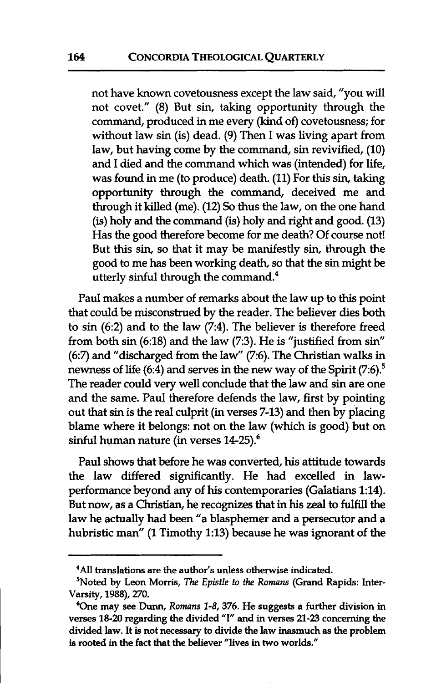not have known covetousness except the law said, "you will not covet." (8) But sin, taking opportunity through the command, produced in me every (kind of) covetousness; for without law sin (is) dead. (9) Then I was living apart from law, but having come by the command, sin revivified, (10) and I died and the command which was (intended) for life, was found in me (to produce) death. (11) For this sin, taking opportunity through the command, deceived me and through it killed (me). (12) So thus the law, on the one hand (is) holy and the command (is) holy and right and good. (13) Has the good therefore become for me death? Of course not! But this sin, so that it may be manifestly sin, through the good to me has been working death, so that the sin might be utterly sinful through the command. $4$ 

Paul makes a number of remarks about the law up to this point that could be misconstrued by the reader. The believer dies both to sin (6:2) and to the law (7:4). The believer is therefore freed from both sin (6:18) and the law (7:3). He is "justified from sin" (67) and "discharged from the law" (7:6). The Christian walks in newness of life (6:4) and serves in the new way of the Spirit (7:6).<sup>5</sup> The reader could very well conclude that the law and sin are one and the same. Paul therefore defends the law, first by pointing out that sin is the real culprit (in verses 7-13) and then by placing blame where it belongs: not on the law (which is good) but on sinful human nature (in verses 14-25).<sup>6</sup>

Paul shows that before he was converted, his attitude towards the law differed sigruficantly. He had excelled in lawperformance beyond any of his contemporaries (Galatians 1:14). But now, as a Christian, he recognizes that in his zeal to fulfill the law he actually had been "a blasphemer and a persecutor and a hubristic man" (1 Timothy 1:13) because he was ignorant of the

**<sup>4</sup>All translations are the author's unless otherwise indicated.** 

**<sup>&#</sup>x27;Noted by Leon Morris, The Epistle** *to the Romans* **(Grand Rapids: Inter-Varsity, 1988), 270.** 

<sup>&</sup>lt;sup>6</sup>One may see Dunn, Romans 1-8, 376. He suggests a further division in **verses 18-20 regarding the divided "I" and in verses 21-23 concerning the divided law. It is not necessary to divide the law inasmuch as the problem is rooted in the fact that the believer "lives in two worlds."**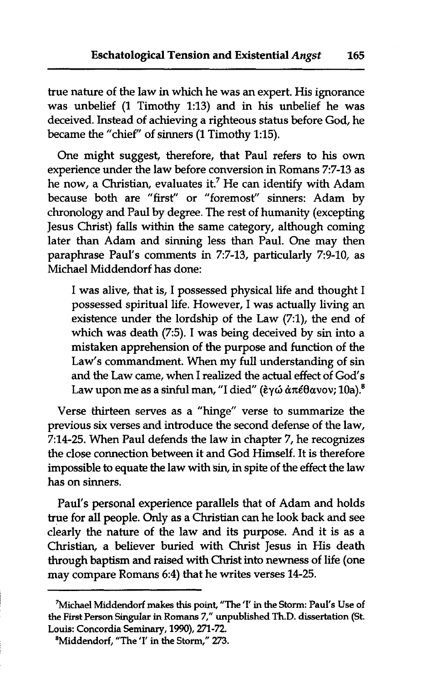true nature of the law in which he was an expert. His ignorance was unbelief (1 Timothy 1:13) and in his unbelief he was deceived. Instead of achieving a righteous status before God, he became the "chief" of sinners (1 Timothy 1:15).

One might suggest, therefore, that Paul refers to his own experience under the law before conversion in Romans 7:7-13 as he now, a Christian, evaluates it.<sup>7</sup> He can identify with Adam because both are "first" or "foremost" sinners: Adam by chronology and Paul by degree. The rest of humanity (excepting Jesus Christ) falls within the same category, although coming later than Adam and sinning less than Paul. One may then paraphrase Paul's comments in 7:7-13, particularly 7:9-10, as Michael Middendorf has done:

I was alive, that is, I possessed physical life and thought I possessed spiritual life. However, I was actually living an existence under the lordship of the Law  $(7:1)$ , the end of which was death (7:5). I was being deceived by sin into a mistaken apprehension of the purpose and function of the Law's commandment. When my full understanding of sin and the Law came, when I realized the actual effect of God's Law upon me as a sinful man, "I died" (εγώ απέθανον; 10a).<sup>8</sup>

Verse thirteen serves as a "hinge" verse to summarize the previous six verses and introduce the second defense of the law, 7:14-25. When Paul defends the law in chapter 7, he recognizes the close connection between it and God Himself. It is therefore impossible to equate the law with **sin,** in spite of the effect the law has on sinners.

Paul's personal experience parallels that of Adam and holds true for **all** people. Only as a Christian can he look back and see clearly the nature of the law and its purpose. And it is as a Christian, a believer buried with Christ Jesus in His death through baptism and raised with Christ into newness of life (one may compare Romans 6:4) that he writes verses 14-25.

**<sup>&#</sup>x27;Michael Middendorf makes this point, "The 'I' in the Storm: Paul's Use of the First Person Singular in Romans 7," unpublished** Th.D. **dissertation (St. Louis: Concordia Seminary, 1990), 271-72.** 

**<sup>&#</sup>x27;Middendorf, "The 'I' in the Storm," 273.**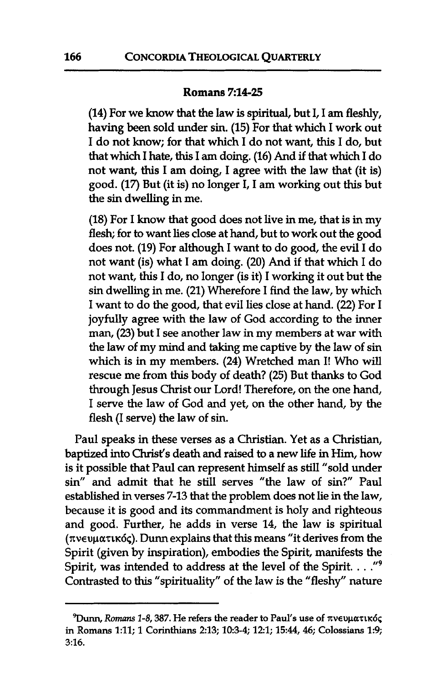#### **Romans 7:14-25**

(14) For we know that the law is spiritual, but I, I am fleshly, having been sold under sin. (15) For that which I work out I do not know; for that which I do not want, this I do, but that which I hate, this I **am** doing. (16) And if that which I do not want, this I am doing, I agree with the law that (it is) good. (17) But (it is) no longer I, I **am** working out this but the sin dwelling in me.

(18) For I know that good does not live in me, that is in my flesh; for to want lies close at hand, but to work out the good does not. (19) For although I want to do good, the evil I do not want (is) what I **am** doing. (20) And if that which I do not want, this I do, no longer (is it) I working it out but the sin dwelling in me. (21) Wherefore I find the law, by which I want to do the good, that evil lies close at hand. (22) For I joyfully agree with the law of God according to the inner man, (23) but I see another law in my members at war with the law of my mind and taking me captive by the law of sin which is in my members. (24) Wretched man I! Who will rescue me from this body of death? (25) But thanks to God through Jesus Christ our Lord! Therefore, on the one hand, I serve the law of God and yet, on the other hand, by the flesh (I serve) the law of sin.

Paul speaks in these verses as a Christian. Yet as a Christian, baptized into Christ's death and raised to a new life in Him, how is it possible that Paul can represent himself as still "sold under sin" and admit that he still serves "the law of sin?" Paul established in verses 7-13 that the problem does not lie in the law, because it is good and its commandment is holy and righteous and good. Further, he adds in verse 14, the law is spiritual **(xwupat~~6~). Dunn** explains that this means "it derives from the Spirit (given by inspiration), embodies the Spirit, manifests the Spirit, was intended to address at the level of the Spirit. . . **."9**  Contrasted to this "spirituality" of the law is the "fleshy" nature

<sup>&</sup>lt;sup>9</sup> Dunn, *Romans 1-8, 387*. He refers the reader to Paul's use of πνευματικός **in Romans 1:ll; 1 Corinthians 213; 10:3-4; 12:l; 15:44, 46; Colossians 1:9; 3:16.**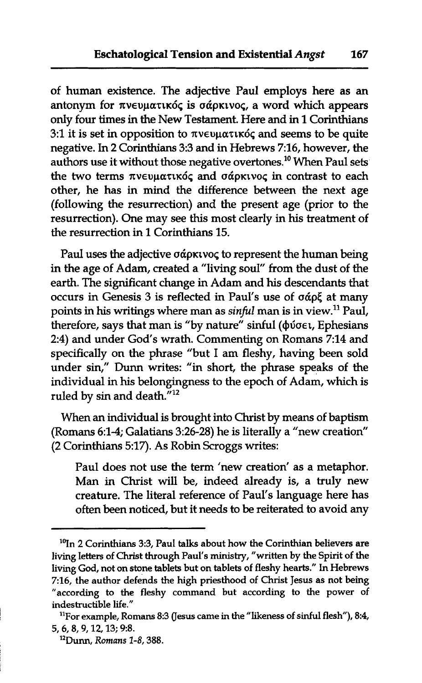of human existence. The adjective Paul employs here as an antonym for  $\pi$ νευματικός is σάρκινος, a word which appears only four times in the New Testament. Here and in 1 Corinthians 3:1 it is set in opposition to  $\pi v \in \mathfrak{u}$  and seems to be quite negative. In 2 Corinthians 3:3 and in Hebrews 716, however, the authors use it without those negative overtones.<sup>10</sup> When Paul sets the two terms πνευματικός and σάρκινος in contrast to each other, he has in mind the difference between the next age (following the resurrection) and the present age (prior to the resurrection). One may see this most clearly in his treatment of the resurrection in 1 Corinthians 15.

Paul uses the adjective  $\sigma\acute{\alpha}$ *p* $\kappa$ *vo* $\varsigma$  to represent the human being in the age of Adam, created a "living soul" from the dust of the earth. The significant change in Adam and his descendants that occurs in Genesis 3 is reflected in Paul's use of  $\sigma$   $\alpha$ o $\zeta$  at many points in his writings where man as **sinful** man is in view." Paul, therefore, says that man is "by nature" sinful ( $\phi$ ύσει, Ephesians 2:4) and under God's wrath. Commenting on Romans 7:14 and specifically on the phrase "but I am fleshy, having been sold under sin," Dunn writes: "in short, the phrase speaks of the individual in his belongingness to the epoch of Adam, which is ruled by sin and death. $^{712}$ 

When an individual is brought into Christ by means of baptism (Romans 6:l-4; Galatians 3:26-28) he is literally a "new creation" (2 Corinthians 5:17). As Robin Scroggs writes:

Paul does not use the term 'new creation' as a metaphor. Man in Christ will be, indeed already is, a truly new creature. The literal reference of Paul's language here has often been noticed, but it needs to be reiterated to avoid any often been noticed, but it needs to be reiterated to avoid any

<sup>&</sup>lt;sup>10</sup>In 2 Corinthians 3:3, Paul talks about how the Corinthian believers are living letters of Christ through Paul's ministry, "written by the Spirit of the living God, not on stone tablets but on tablets of fleshy hearts." In Hebrews **716,** the author defends the high priesthood of Christ Jesus as not being "according to the fleshy command but according to the power of indestructible life."

<sup>&</sup>lt;sup>11</sup>For example, Romans 8:3 (Jesus came in the "likeness of sinful flesh"), 8:4, **5,6,8,9,12,13; 9:s.** 

**<sup>&</sup>quot;Dunn, Romans 1-8,388.**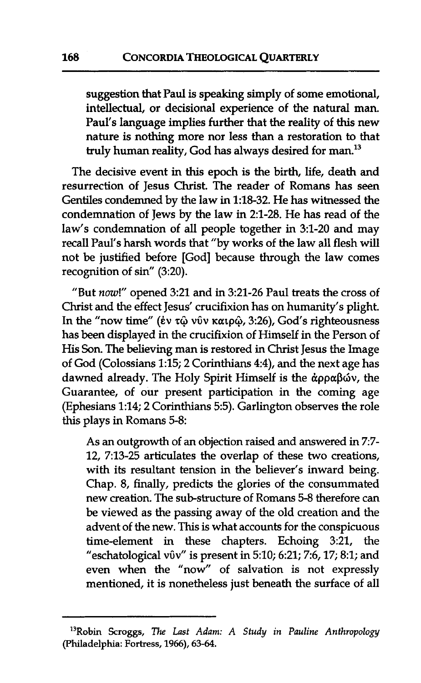suggestion that Paul is speaking simply of some emotional, intellectual, or decisional experience of the natural man. Paul's language implies further that the reality of this new nature is nothing more nor less than a restoration to that truly human reality, God has always desired for man.13

The decisive event in this epoch is the birth, life, death and resurrection of Jesus Christ. The reader of Romans has seen Gentiles condemned by the law in 1:18-32. He has witnessed the condemnation of Jews by the law in 2:l-28. He has read of the law's condemnation of all people together in 3:l-20 and may recall Paul's harsh words that "by works of the law all flesh will not be justified before [God] because through the law comes recognition of sin" (3:20).

"But **now!"** opened 3:21 and in 3:21-26 Paul treats the cross of Christ and the effect Jesus' crucifixion has on humanity's plight. In the "now time" (ἐν τῷ νῦν καιρῷ, 3:26), God's righteousness has been displayed in the crucifixion of Himself in the Person of His Son. The believing man is restored in Christ Jesus the Image of God (Colossians 1:15; 2 Corinthians 4:4), and the next age has dawned already. The Holy Spirit Himself is the  $\alpha$ pp $\alpha$  $\beta$ ων, the Guarantee, of our present participation in the coming age (Ephesians 1:14; 2 Corinthians 5:5). Garlington observes the role this plays in Romans 5-8:

As an outgrowth of an objection raised and answered in 7:7-12, 7:13-25 articulates the overlap of these two creations, with its resultant tension in the believer's inward being. Chap. 8, finally, predicts the glories of the consummated new creation. The sub-structure of Romans 5-8 therefore can be viewed as the passing away of the old creation and the advent of the new. This is what accounts for the conspicuous time-element in these chapters. Echoing 3:21, the "eschatological v $0v''$  is present in 5:10; 6:21; 7:6, 17; 8:1; and even when the "now" of salvation is not expressly mentioned, it is nonetheless just beneath the surface of all

**I3Robin Scroggs,** *The Last Adam: A Study in Pauline Anthropology*  **(Philadelphia: Fortress, 1966), 63-64.**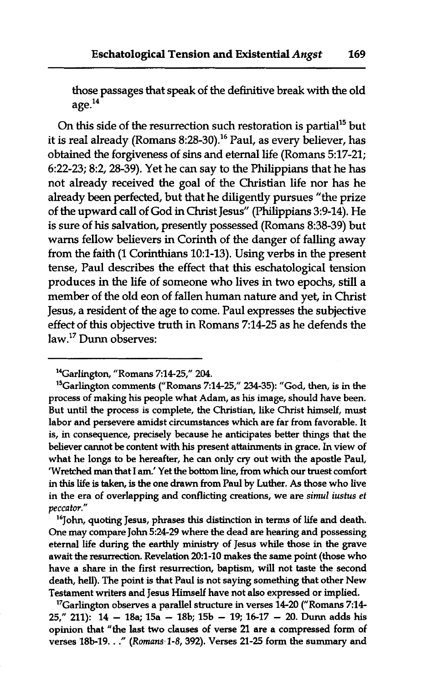those passages that speak of the definitive break with the old age.14

On this side of the resurrection such restoration is partial<sup>15</sup> but it is real already (Romans 8:28-30).<sup>16</sup> Paul, as every believer, has obtained the forgiveness of sins and eternal life (Romans 5:17-21; 6:22-23; 8:2, 28-39). Yet he can say to the Philippians that he has not already received the goal of the Christian life nor has he already been perfected, but that he diligently pursues "the prize of the upward call of God in Christ Jesus" (Philippians 3:9-14). He is sure of his salvation, presently possessed (Romans 8:38-39) but warns fellow believers in Corinth of the danger of falling away from the faith (1 Corinthians 10:l-13). Using verbs in the present tense, Paul describes the effect that this eschatological tension produces in the life of someone who lives in two epochs, still a member of the old eon of fallen human nature and yet, in Christ Jesus, a resident of the age to come. Paul expresses the subjective effect of this objective truth in Romans 7:14-25 as he defends the law.17 Dunn observes:

<sup>16</sup>John, quoting Jesus, phrases this distinction in terms of life and death. One may compare John 5:2429 where the dead are hearing and possessing eternal life during the earthly ministry of Jesus while those in the grave await the resurrection. Revelation 20:1-10 makes the same point (those who have a share in the first resurrection, baptism, will not taste the second death, hell). The point is that Paul is not saying something that other New Testament writers and Jesus Himself have not also expressed or implied.

<sup>17</sup>Garlington observes a parallel structure in verses 14-20 ("Romans 7:14-25," 211): 14 - 18a; 15a - 18b; 15b - 19; 16-17 - 20. **Dunn** adds his opinion that "the last two clauses of verse 21 are a compressed form of verses 18b-19. . ." (Romans 1-8, 392). Verses 21-25 form the summary and

<sup>14</sup>Garlington, "Romans 7:1425," 204.

 $15$ Garlington comments ("Romans 7:14-25," 234-35): "God, then, is in the process of making his people what Adam, as his image, should have been. But until the process is complete, the Christian, like Christ himself, must labor and persevere amidst circumstances which are far from favorable. It is, in consequence, precisely because he anticipates better things that the believer cannot be content with his present attainments in grace. In view of what he longs to be hereafter, he can only cry out with the apostle Paul, 'Wretched **man** that I am.' Yet the bottom line, from which our truest comfort in this life is **taken,** is the one **drawn** from Paul by Luther. As those who live in the era of overlapping and conflicting creations, we are **simul iustus** et peccator."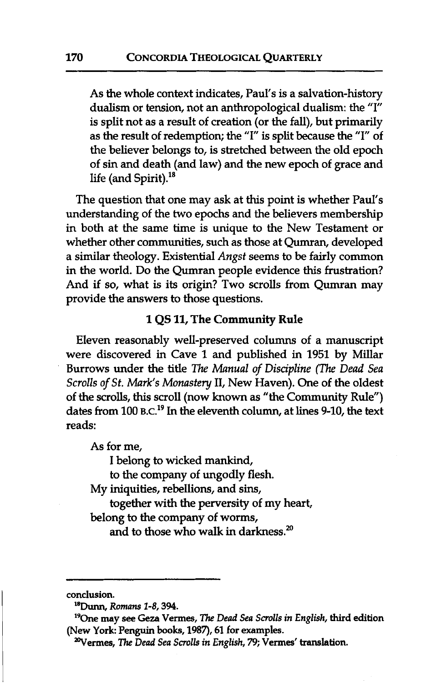As the whole context indicates, Paul's is a salvation-history dualism or tension, not an anthropological dualism: the "I" is split not as a result of creation (or the fall), but primarily as the result of redemption; the "I" is split because the "I" of the believer belongs to, is stretched between the old epoch of sin and death (and law) and the new epoch of grace and life (and Spirit). $18$ 

The question that one may ask at this point is whether Paul's understanding of the two epochs and the believers membership in both at the same time is unique to the New Testament or whether other communities, such as those at Oumran, developed a similar theology. Existential *Angst* seems to be fairly common in the world. Do the Qumran people evidence this frustration? And if so, what is its origin? Two scrolls from Qumran may provide the answers to those questions.

#### **<sup>1</sup>QS** 11, The Community Rule

Eleven reasonably well-preserved columns of a manuscript were discovered in Cave 1 and published in 1951 by Millar Burrows under the title *The Manual of Discipline (The Dead Sea Scrolls* of *St. Mark's Monastery* 11, New Haven). One of the oldest of the scrolls, this scroll (now known as "the Community Rule") dates from 100 B.C.<sup>19</sup> In the eleventh column, at lines 9-10, the text reads:

As for me,

I belong to wicked mankind,

to the company of ungodly flesh.

My iniquities, rebellions, and sins,

together with the perversity of my heart,

belong to the company of worms,

and to those who walk in darkness. $^{20}$ 

conclusion.

**<sup>&#</sup>x27;8Dunnl Romans 1-8,394.** 

<sup>190</sup>ne **may** see **Geza** Vermes, The *Dead Sea Scrolls in English,* third edition (New York: **Penguin** books, 1987), 61 for examples.

<sup>&</sup>lt;sup>20</sup>Vermes, The *Dead Sea Scrolls in English*, 79; Vermes' translation.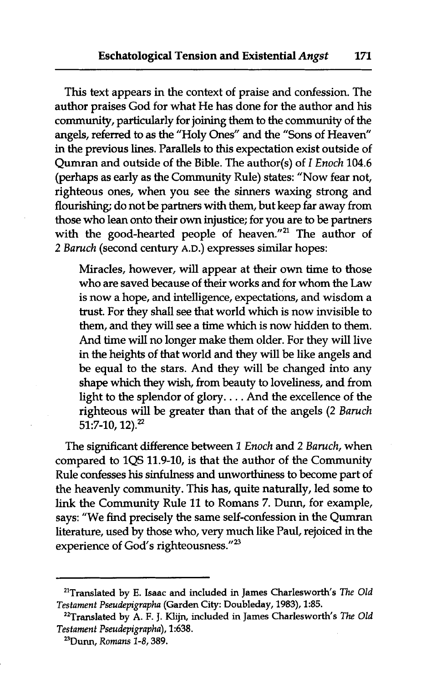This text appears in the context of praise and confession. The author praises God for what He has done for the author and his community, particularly for joining them to the community of the angels, referred to as the "Holy Ones" and the "Sons of Heaven" in the previous lines. Parallels to this expectation exist outside of Qumran and outside of the Bible. The author(s) of *I* Enoch 104.6 (perhaps as early as the Community Rule) states: "Now fear not, righteous ones, when you see the sinners waxing strong and flourishing; do not be partners with them, but keep far away from those who lean onto their own injustice; for you are to be partners with the good-hearted people of heaven."<sup>21</sup> The author of 2 Baruch (second century A.D.) expresses similar hopes:

Miracles, however, will appear at their own time to those who are saved because of their works and for whom the Law is now a hope, and intelligence, expectations, and wisdom a trust. For they shall see that world which is now invisible to them, and they will see a time which is now hidden to them. And time will no longer make them older. For they will live in the heights of that world and they will be like angels and be equal to the stars. And they will be changed into any shape which they wish, from beauty to loveliness, and from light to the splendor of glory. . . . And the excellence of the righteous will be greater than that of the angels (2 Baruch  $51:7-10,12$ <sup>2</sup>

The significant difference between 1 Enoch and 2 Baruch, when compared to 1QS 11.9-10, is that the author of the Community Rule confesses his sinfulness and unworthiness to become part of the heavenly community. This has, quite naturally, led some to link the Community Rule 11 to Romans 7. Dunn, for example, says: "We find precisely the same self-confession in the Qumran literature, used by those who, very much like Paul, rejoiced in the experience of God's righteousness." $^{23}$ 

**<sup>&#</sup>x27;'Translated by E. Isaac and included in James Charlesworth's** *The* **Old**  *Testament Pseudepigrapha* **(Garden City: Doubleday, 1983), 1235.** 

**ZZTranslated by A. F. J. Klijn, included in James Charlesworth's** *The* **Old**  *Testament Pseudepigrapha),* **1:638.** 

**<sup>23</sup>Dunn,** *Romans* **1-8,389.**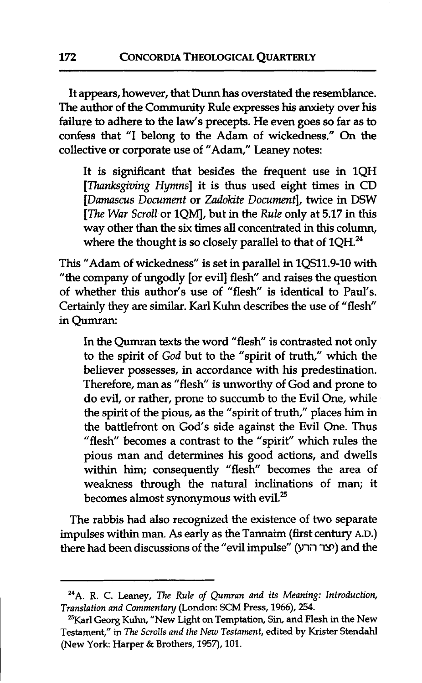It appears, however, that **Dunn** has overstated the resemblance. The author of the Community Rule expresses his anxiety over his failure to adhere to the law's precepts. He even goes so far as to confess that "I belong to the Adam of wickedness." On the collective or corporate use of "Adam," Leaney notes:

It is significant that besides the frequent use in 1QH [Thanksgiving Hymns] it is thus used eight times in CD [Damascus Document or Zadokite Document], twice in DSW [The War Scroll or 1QM], but in the Rule only at 5.17 in this way other **than** the six times all concentrated in this column, where the thought is so closely parallel to that of  $1QH.^{24}$ .

This "Adam of wickedness" is set in parallel in 1QS11.9-10 with "the company of ungodly [or evil] flesh" and raises the question of whether this author's use of "flesh" is identical to Paul's. Certainly they are similar. Karl **Kuhn** describes the use of "flesh" in Qumran:

In the Qumran texts the word "flesh" is contrasted not only to the spirit of God but to the "spirit of truth," which the believer possesses, in accordance with his predestination. Therefore, man as "flesh" is unworthy of God and prone to do evil, or rather, prone to succumb to the Evil One, while the spirit of the pious, as the "spirit of truth," places him in the battlefront on God's side against the Evil One. Thus "flesh" becomes a contrast to the "spirit" which rules the pious man and determines his good actions, and dwells within him; consequently "flesh" becomes the area of weakness through the natural inclinations of **man;** it becomes almost synonymous with evil.<sup>25</sup>

The rabbis had also recognized the existence of two separate impulses within man. As early as the Tannaim (first century A.D.) there had been discussions of the "evil impulse" **(YTi** iY) and the

**<sup>24</sup>A. R. C. Leaney,** *The Rule of Qumran and its Meaning: Introduction, Translation and Commenta y* **(London: SCM Press, 1966), 254.** 

**<sup>%</sup>rl Georg Kuhn, "New Light on Temptation, Sin, and Flesh in the New Testament," in The** *Scrolls and the Nau Testament,* **edited by Krister Stendahl (New York: Harper** & **Brothers, 1957), 101.**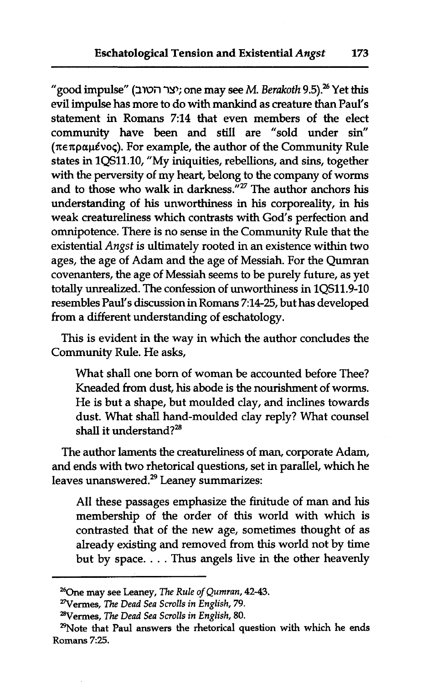"good impulse" **(Iw;-I w;** one may see M. *Berakoth* **9.5).26** Yet this evil impulse has more to do with mankind as creature than Paul's statement in Romans 7:14 that even members of the elect community have been and still are "sold under sin" **(x~xpapkvoq).** For example, the author of the Community Rule states in 1QS11.10, "My iniquities, rebellions, and sins, together with the perversity of my heart, belong to the company of worms and to those who walk in darkness."<sup>27</sup> The author anchors his understanding of his unworthiness in his corporeality, in his weak creatureliness which contrasts with God's perfection and omnipotence. There is no sense in the Community Rule that the existential Angst is ultimately rooted in an existence within two ages, the age of Adam and the age of Messiah. For the Qumran covenanters, the age of Messiah seems to be purely future, as yet totally unrealized. The confession of unworthiness in 1QS11.9-10 resembles Paul's discussion in Romans 7:14-25, but has developed from a different understanding of eschatology.

This is evident in the way in which the author concludes the Community Rule. He asks,

What shall one born of woman be accounted before Thee? Kneaded from dust, his abode is the nourishment of worms. He is but a shape, but moulded clay, and inclines towards dust. What shall hand-moulded clay reply? What counsel shall it understand? $^{28}$ 

The author laments the creatureliness of man, corporate Adam, and ends with two rhetorical questions, set in parallel, which he leaves unanswered. $29$  Leaney summarizes:

All these passages emphasize the finitude of man and his membership of the order of this world with which is contrasted that of the new age, sometimes thought of as already existing and removed from this world not by time but by space. . . . Thus angels live in the other heavenly

**<sup>%</sup>ne may see Leaney,** *The Rule of Qumran, 42-43.* 

**<sup>27</sup>Vermes,** *The Dead Sea Scrolls in English, 79.* 

**ZBVermes,** *The Dead Sea Scrolls in English, 80.* 

**<sup>29</sup>Note that Paul answers the rhetorical question with which he ends Romans 725.**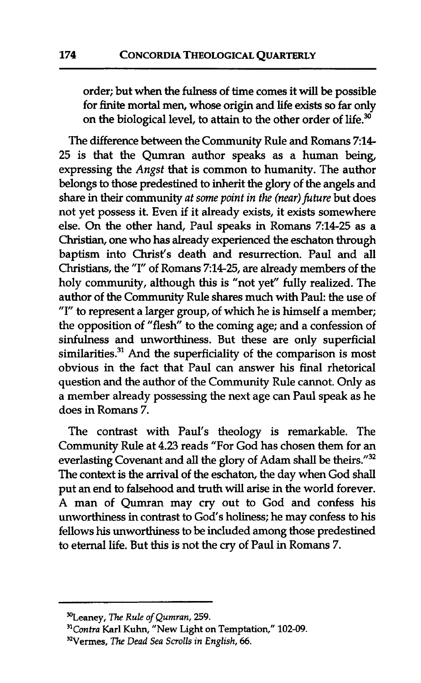order; but when the fulness of time comes it will be possible for finite mortal men, whose origin and life exists so far only on the biological level, to attain to the other order of life.<sup>30</sup>

The difference between the Community Rule and Romans **214-**  25 is that the Qumran author speaks as a human being, expressing the *Angst* that is common to humanity. The author belongs to those predestined to inherit the glory of the angels and share in their community *at some point in the (near) future but does* not yet possess it. Even if it already exists, it exists somewhere else. On the other hand, Paul speaks in Romans 7:14-25 as a Christian, one who has already experienced the eschaton through baptism into Christ's death and resurrection. Paul and all Christians, the "I" of Romans 7:14-25, are already members of the holy community, although this is "not yet" fully realized. The author of the Community Rule shares much with Paul: the use of "I" to represent a larger group, of which he is himself a member; the opposition of "flesh" to the coming age; and a confession of sinfulness and unworthiness. But these are only superficial  $s$ imilarities. $^{31}$  And the superficiality of the comparison is most obvious in the fact that Paul can answer his final rhetorical question and the author of the Community Rule cannot. Only as a member already possessing the next age can Paul speak as he does in Romans 7.

The contrast with Paul's theology is remarkable. The Community Rule at 4.23 reads "For God has chosen them for an everlasting Covenant and **all** the glory of Adam shall be theirs."32 The context is the arrival of the eschaton, the day when God shall put an end to falsehood and truth will arise in the world forever. A man of Qumran may cry out to God and confess his unworthiness in contrast to God's holiness; he may confess to his fellows his unworthiness to be included among those predestined to eternal life. But this is not the cry of Paul in Romans 7.

**<sup>%</sup>eaney, The** *Rule of Qumran,* **259.** 

*<sup>&</sup>quot;Contra Karl* **Kuhn, "New Light on Temptation," 102-09.** 

**<sup>&</sup>quot;Vermes, The** *Dead Sea Scrolls in English, 66.*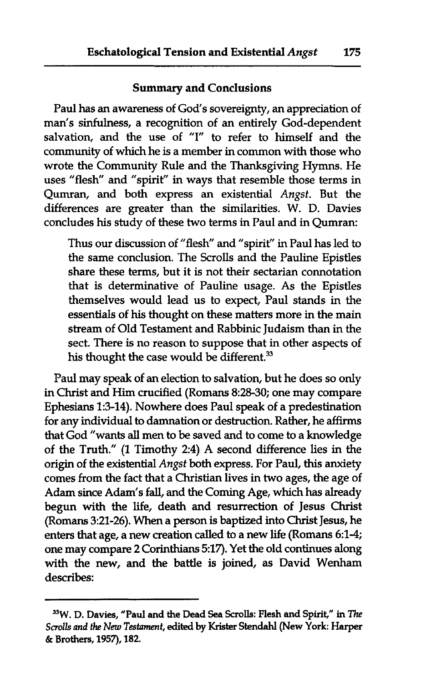#### Summary and Conclusions

Paul has an awareness of God's sovereignty, an appreciation of man's sinfulness, a recognition of an entirely God-dependent salvation, and the use of "I" to refer to himself and the community of which he is a member in common with those who wrote the Community Rule and the Thanksgiving Hymns. He uses "flesh" and "spirit" in ways that resemble those terms in Qumran, and both express an existential *Angst.* But the differences are greater than the similarities. W. D. Davies concludes his study of these two terms in Paul and in Qumran:

Thus our discussion of "flesh" and "spirit" in Paul has led to the same conclusion. The Scrolls and the Pauline Epistles share these terms, but it is not their sectarian connotation that is determinative of Pauline usage. As the Epistles themselves would lead us to expect, Paul stands in the essentials of his thought on these matters more in the main stream of Old Testament and Rabbinic Judaism than in the sect. There is no reason to suppose that in other aspects of his thought the case would be different.<sup>33</sup>

Paul may speak of an election to salvation, but he does so only in Christ and Him crucified (Romans 8:28-30; one may compare Ephesians 1:3-14). Nowhere does Paul speak of a predestination for any individual to damnation or destruction. Rather, he affirms that God "wants all men to be saved and to come to a knowledge of the Truth." (1 Timothy 2:4) A second difference lies in the origin of the existential *Angst* **both** express. For Paul, this anxiety comes from the fact that a Christian lives in two ages, the age of Adam since Adam's fall, and the Coming Age, which has already begun with the life, death and resurrection of Jesus Christ (Romans 321-26). When a person is baptized into Christ Jesus, he enters that age, a new creation called to a new life (Romans 6:1-4; one may compare 2 Corinthians 5:17). Yet the old continues along with the new, and the battle is joined, as David Wenham describes:

**<sup>33</sup>W.** D. Davies, "Paul and the Dead **Sea** Scrolls: Flesh and Spirit," in The *Scrolls* **mrd** *the New Testament,* **edibed** by **Krister Stendahl** (New York: Harper & Brothers, 1957), 182.